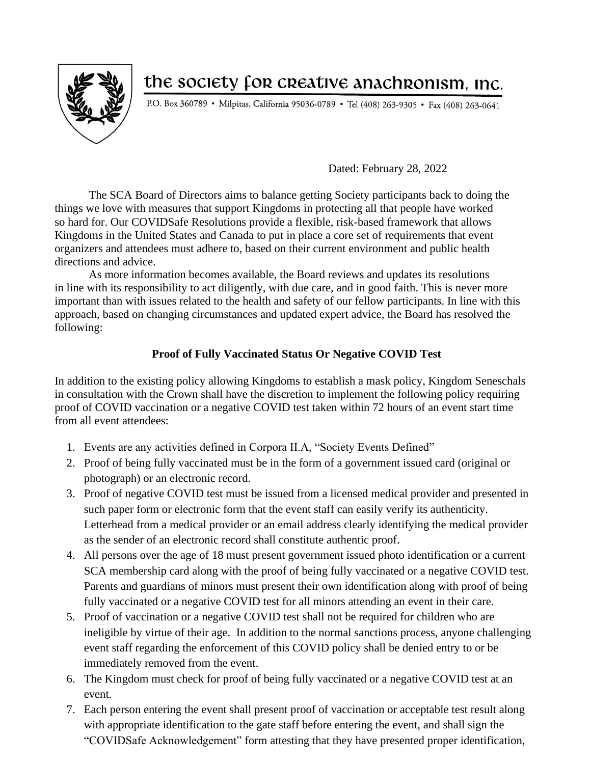

## the society for creative anachronism, inc.

P.O. Box 360789 • Milpitas, California 95036-0789 • Tel (408) 263-9305 • Fax (408) 263-0641

Dated: February 28, 2022

The SCA Board of Directors aims to balance getting Society participants back to doing the things we love with measures that support Kingdoms in protecting all that people have worked so hard for. Our COVIDSafe Resolutions provide a flexible, risk-based framework that allows Kingdoms in the United States and Canada to put in place a core set of requirements that event organizers and attendees must adhere to, based on their current environment and public health directions and advice.

As more information becomes available, the Board reviews and updates its resolutions in line with its responsibility to act diligently, with due care, and in good faith. This is never more important than with issues related to the health and safety of our fellow participants. In line with this approach, based on changing circumstances and updated expert advice, the Board has resolved the following:

## **Proof of Fully Vaccinated Status Or Negative COVID Test**

In addition to the existing policy allowing Kingdoms to establish a mask policy, Kingdom Seneschals in consultation with the Crown shall have the discretion to implement the following policy requiring proof of COVID vaccination or a negative COVID test taken within 72 hours of an event start time from all event attendees:

- 1. Events are any activities defined in Corpora II.A, "Society Events Defined"
- 2. Proof of being fully vaccinated must be in the form of a government issued card (original or photograph) or an electronic record.
- 3. Proof of negative COVID test must be issued from a licensed medical provider and presented in such paper form or electronic form that the event staff can easily verify its authenticity. Letterhead from a medical provider or an email address clearly identifying the medical provider as the sender of an electronic record shall constitute authentic proof.
- 4. All persons over the age of 18 must present government issued photo identification or a current SCA membership card along with the proof of being fully vaccinated or a negative COVID test. Parents and guardians of minors must present their own identification along with proof of being fully vaccinated or a negative COVID test for all minors attending an event in their care.
- 5. Proof of vaccination or a negative COVID test shall not be required for children who are ineligible by virtue of their age. In addition to the normal sanctions process, anyone challenging event staff regarding the enforcement of this COVID policy shall be denied entry to or be immediately removed from the event.
- 6. The Kingdom must check for proof of being fully vaccinated or a negative COVID test at an event.
- 7. Each person entering the event shall present proof of vaccination or acceptable test result along with appropriate identification to the gate staff before entering the event, and shall sign the "COVIDSafe Acknowledgement" form attesting that they have presented proper identification,